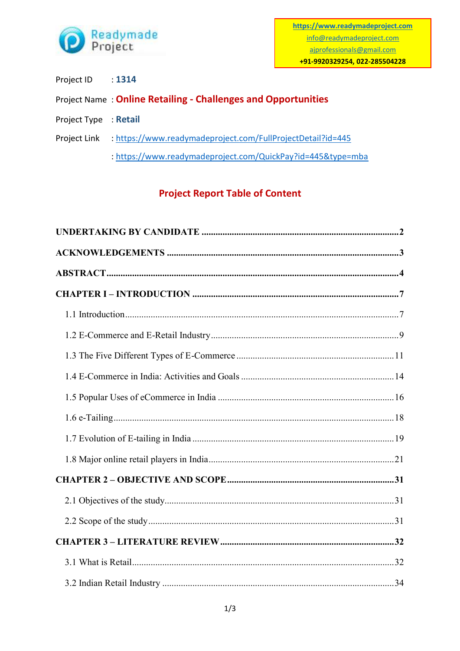

- Project ID : 1314
- Project Name : **Online Retailing - Challenges and Opportunities**
- Project Type : **Retail**
- Project Link :<https://www.readymadeproject.com/FullProjectDetail?id=445>
	- :<https://www.readymadeproject.com/QuickPay?id=445&type=mba>

## **Project Report Table of Content**